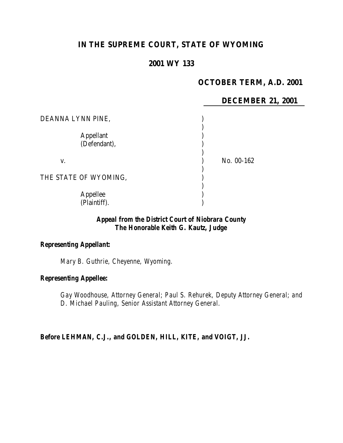## **IN THE SUPREME COURT, STATE OF WYOMING**

## **2001 WY 133**

# **OCTOBER TERM, A.D. 2001**

#### **DECEMBER 21, 2001**

| DEANNA LYNN PINE,                |            |
|----------------------------------|------------|
| <b>Appellant</b><br>(Defendant), |            |
| V.                               | No. 00-162 |
| THE STATE OF WYOMING,            |            |
| Appellee<br>(Plaintiff).         |            |

## *Appeal from the District Court of Niobrara County The Honorable Keith G. Kautz, Judge*

#### *Representing Appellant:*

*Mary B. Guthrie, Cheyenne, Wyoming.*

### *Representing Appellee:*

*Gay Woodhouse, Attorney General; Paul S. Rehurek, Deputy Attorney General; and D. Michael Pauling, Senior Assistant Attorney General.*

*Before LEHMAN, C.J., and GOLDEN, HILL, KITE, and VOIGT, JJ.*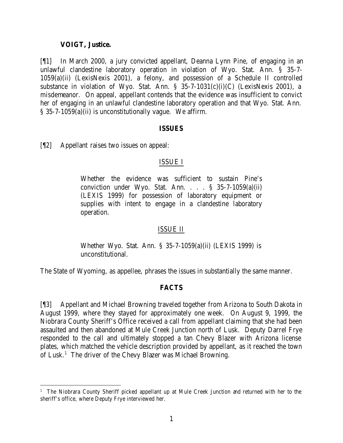#### **VOIGT, Justice.**

[¶1] In March 2000, a jury convicted appellant, Deanna Lynn Pine, of engaging in an unlawful clandestine laboratory operation in violation of Wyo. Stat. Ann. § 35-7- 1059(a)(ii) (LexisNexis 2001), a felony, and possession of a Schedule II controlled substance in violation of Wyo. Stat. Ann. § 35-7-1031(c)(i)(C) (LexisNexis 2001), a misdemeanor. On appeal, appellant contends that the evidence was insufficient to convict her of engaging in an unlawful clandestine laboratory operation and that Wyo. Stat. Ann. § 35-7-1059(a)(ii) is unconstitutionally vague. We affirm.

#### **ISSUES**

[¶2] Appellant raises two issues on appeal:

#### ISSUE I

Whether the evidence was sufficient to sustain Pine's conviction under Wyo. Stat. Ann. . . . § 35-7-1059(a)(ii) (LEXIS 1999) for possession of laboratory equipment or supplies with intent to engage in a clandestine laboratory operation.

#### ISSUE II

Whether Wyo. Stat. Ann. § 35-7-1059(a)(ii) (LEXIS 1999) is unconstitutional.

The State of Wyoming, as appellee, phrases the issues in substantially the same manner.

## **FACTS**

[¶3] Appellant and Michael Browning traveled together from Arizona to South Dakota in August 1999, where they stayed for approximately one week. On August 9, 1999, the Niobrara County Sheriff's Office received a call from appellant claiming that she had been assaulted and then abandoned at Mule Creek Junction north of Lusk. Deputy Darrel Frye responded to the call and ultimately stopped a tan Chevy Blazer with Arizona license plates, which matched the vehicle description provided by appellant, as it reached the town of Lusk.<sup>1</sup> The driver of the Chevy Blazer was Michael Browning.

<sup>&</sup>lt;sup>1</sup> The Niobrara County Sheriff picked appellant up at Mule Creek Junction and returned with her to the sheriff's office, where Deputy Frye interviewed her.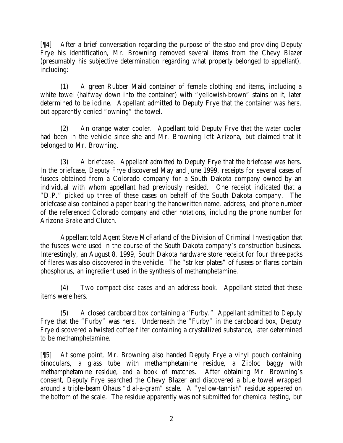[¶4] After a brief conversation regarding the purpose of the stop and providing Deputy Frye his identification, Mr. Browning removed several items from the Chevy Blazer (presumably his subjective determination regarding what property belonged to appellant), including:

(1) A green Rubber Maid container of female clothing and items, including a white towel (halfway down into the container) with "yellowish-brown" stains on it, later determined to be iodine. Appellant admitted to Deputy Frye that the container was hers, but apparently denied "owning" the towel.

(2) An orange water cooler. Appellant told Deputy Frye that the water cooler had been in the vehicle since she and Mr. Browning left Arizona, but claimed that it belonged to Mr. Browning.

(3) A briefcase. Appellant admitted to Deputy Frye that the briefcase was hers. In the briefcase, Deputy Frye discovered May and June 1999, receipts for several cases of fusees obtained from a Colorado company for a South Dakota company owned by an individual with whom appellant had previously resided. One receipt indicated that a "D.P." picked up three of these cases on behalf of the South Dakota company. The briefcase also contained a paper bearing the handwritten name, address, and phone number of the referenced Colorado company and other notations, including the phone number for Arizona Brake and Clutch.

Appellant told Agent Steve McFarland of the Division of Criminal Investigation that the fusees were used in the course of the South Dakota company's construction business. Interestingly, an August 8, 1999, South Dakota hardware store receipt for four three-packs of flares was also discovered in the vehicle. The "striker plates" of fusees or flares contain phosphorus, an ingredient used in the synthesis of methamphetamine.

(4) Two compact disc cases and an address book. Appellant stated that these items were hers.

(5) A closed cardboard box containing a "Furby." Appellant admitted to Deputy Frye that the "Furby" was hers. Underneath the "Furby" in the cardboard box, Deputy Frye discovered a twisted coffee filter containing a crystallized substance, later determined to be methamphetamine.

[¶5] At some point, Mr. Browning also handed Deputy Frye a vinyl pouch containing binoculars, a glass tube with methamphetamine residue, a Ziploc baggy with methamphetamine residue, and a book of matches. After obtaining Mr. Browning's consent, Deputy Frye searched the Chevy Blazer and discovered a blue towel wrapped around a triple-beam Ohaus "dial-a-gram" scale. A "yellow-tannish" residue appeared on the bottom of the scale. The residue apparently was not submitted for chemical testing, but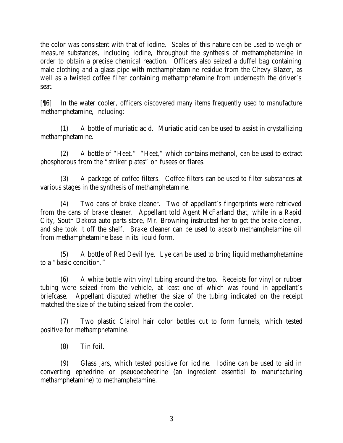the color was consistent with that of iodine. Scales of this nature can be used to weigh or measure substances, including iodine, throughout the synthesis of methamphetamine in order to obtain a precise chemical reaction. Officers also seized a duffel bag containing male clothing and a glass pipe with methamphetamine residue from the Chevy Blazer, as well as a twisted coffee filter containing methamphetamine from underneath the driver's seat.

[¶6] In the water cooler, officers discovered many items frequently used to manufacture methamphetamine, including:

(1) A bottle of muriatic acid. Muriatic acid can be used to assist in crystallizing methamphetamine.

(2) A bottle of "Heet." "Heet," which contains methanol, can be used to extract phosphorous from the "striker plates" on fusees or flares.

(3) A package of coffee filters. Coffee filters can be used to filter substances at various stages in the synthesis of methamphetamine.

(4) Two cans of brake cleaner. Two of appellant's fingerprints were retrieved from the cans of brake cleaner. Appellant told Agent McFarland that, while in a Rapid City, South Dakota auto parts store, Mr. Browning instructed her to get the brake cleaner, and she took it off the shelf. Brake cleaner can be used to absorb methamphetamine oil from methamphetamine base in its liquid form.

(5) A bottle of Red Devil lye. Lye can be used to bring liquid methamphetamine to a "basic condition."

(6) A white bottle with vinyl tubing around the top. Receipts for vinyl or rubber tubing were seized from the vehicle, at least one of which was found in appellant's briefcase. Appellant disputed whether the size of the tubing indicated on the receipt matched the size of the tubing seized from the cooler.

(7) Two plastic Clairol hair color bottles cut to form funnels, which tested positive for methamphetamine.

(8) Tin foil.

(9) Glass jars, which tested positive for iodine. Iodine can be used to aid in converting ephedrine or pseudoephedrine (an ingredient essential to manufacturing methamphetamine) to methamphetamine.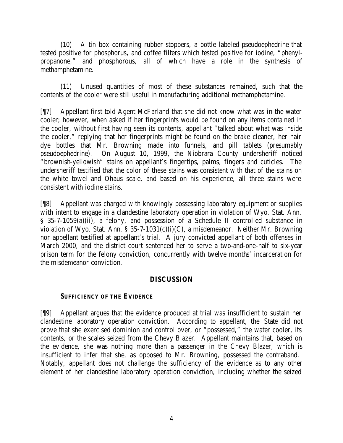(10) A tin box containing rubber stoppers, a bottle labeled pseudoephedrine that tested positive for phosphorus, and coffee filters which tested positive for iodine, "phenylpropanone," and phosphorous, all of which have a role in the synthesis of methamphetamine.

(11) Unused quantities of most of these substances remained, such that the contents of the cooler were still useful in manufacturing additional methamphetamine.

[¶7] Appellant first told Agent McFarland that she did not know what was in the water cooler; however, when asked if her fingerprints would be found on any items contained in the cooler, without first having seen its contents, appellant "talked about what was inside the cooler," replying that her fingerprints might be found on the brake cleaner, her hair dye bottles that Mr. Browning made into funnels, and pill tablets (presumably pseudoephedrine). On August 10, 1999, the Niobrara County undersheriff noticed "brownish-yellowish" stains on appellant's fingertips, palms, fingers and cuticles. The undersheriff testified that the color of these stains was consistent with that of the stains on the white towel and Ohaus scale, and based on his experience, all three stains were consistent with iodine stains.

[¶8] Appellant was charged with knowingly possessing laboratory equipment or supplies with intent to engage in a clandestine laboratory operation in violation of Wyo. Stat. Ann. § 35-7-1059(a)(ii), a felony, and possession of a Schedule II controlled substance in violation of Wyo. Stat. Ann. § 35-7-1031(c)(i)(C), a misdemeanor. Neither Mr. Browning nor appellant testified at appellant's trial. A jury convicted appellant of both offenses in March 2000, and the district court sentenced her to serve a two-and-one-half to six-year prison term for the felony conviction, concurrently with twelve months' incarceration for the misdemeanor conviction.

## **DISCUSSION**

#### **SUFFICIENCY OF THE EVIDENCE**

[¶9] Appellant argues that the evidence produced at trial was insufficient to sustain her clandestine laboratory operation conviction. According to appellant, the State did not prove that she exercised dominion and control over, or "possessed," the water cooler, its contents, or the scales seized from the Chevy Blazer. Appellant maintains that, based on the evidence, she was nothing more than a passenger in the Chevy Blazer, which is insufficient to infer that she, as opposed to Mr. Browning, possessed the contraband. Notably, appellant does not challenge the sufficiency of the evidence as to any other element of her clandestine laboratory operation conviction, including whether the seized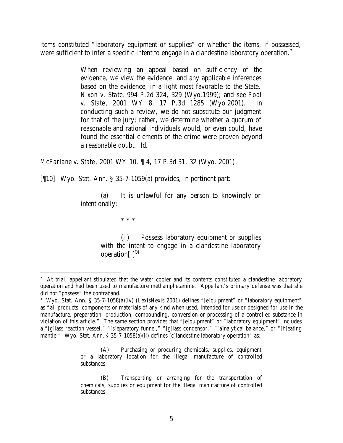items constituted "laboratory equipment or supplies" or whether the items, if possessed, were sufficient to infer a specific intent to engage in a clandestine laboratory operation.<sup>2</sup>

> When reviewing an appeal based on sufficiency of the evidence, we view the evidence, and any applicable inferences based on the evidence, in a light most favorable to the State. *Nixon v. State*, 994 P.2d 324, 329 (Wyo.1999); and *see Pool v. State*, 2001 WY 8, 17 P.3d 1285 (Wyo.2001). conducting such a review, we do not substitute our judgment for that of the jury; rather, we determine whether a quorum of reasonable and rational individuals would, or even could, have found the essential elements of the crime were proven beyond a reasonable doubt. *Id.*

*McFarlane v. State*, 2001 WY 10, ¶ 4, 17 P.3d 31, 32 (Wyo. 2001).

[¶10] Wyo. Stat. Ann. § 35-7-1059(a) provides, in pertinent part:

(a) It is unlawful for any person to knowingly or intentionally:

\* \* \*

(ii) Possess laboratory equipment or supplies with the intent to engage in a clandestine laboratory operation $[.]^{\lbrack 3]}$ 

<sup>&</sup>lt;sup>2</sup> At trial, appellant stipulated that the water cooler and its contents constituted a clandestine laboratory operation and had been used to manufacture methamphetamine. Appellant's primary defense was that she did not "possess" the contraband.

<sup>3</sup> Wyo. Stat. Ann. § 35-7-1058(a)(iv) (LexisNexis 2001) defines "[e]quipment" or "laboratory equipment" as "all products, components or materials of any kind when used, intended for use or designed for use in the manufacture, preparation, production, compounding, conversion or processing of a controlled substance in violation of this article." The same section provides that "[e]quipment" or "laboratory equipment" includes a "[g]lass reaction vessel," "[s]eparatory funnel," "[g]lass condensor," "[a]nalytical balance," or "[h]eating mantle." Wyo. Stat. Ann. § 35-7-1058(a)(ii) defines [c]landestine laboratory operation" as:

<sup>(</sup>A) Purchasing or procuring chemicals, supplies, equipment or a laboratory location for the illegal manufacture of controlled substances;

<sup>(</sup>B) Transporting or arranging for the transportation of chemicals, supplies or equipment for the illegal manufacture of controlled substances;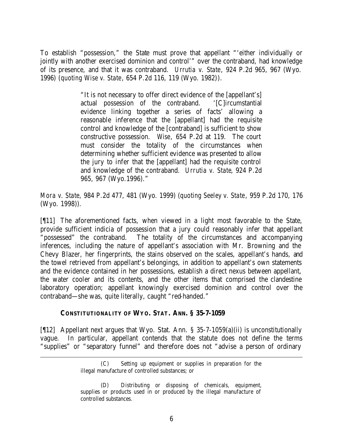To establish "possession," the State must prove that appellant "'either individually or jointly with another exercised dominion and control'" over the contraband, had knowledge of its presence, and that it was contraband. *Urrutia v. State*, 924 P.2d 965, 967 (Wyo. 1996) (*quoting Wise v. State*, 654 P.2d 116, 119 (Wyo. 1982)).

> "It is not necessary to offer direct evidence of the [appellant's] actual possession of the contraband. '[C]ircumstantial evidence linking together a series of facts' allowing a reasonable inference that the [appellant] had the requisite control and knowledge of the [contraband] is sufficient to show constructive possession. *Wise*, 654 P.2d at 119. The court must consider the totality of the circumstances when determining whether sufficient evidence was presented to allow the jury to infer that the [appellant] had the requisite control and knowledge of the contraband. *Urrutia v. State*, 924 P.2d 965, 967 (Wyo.1996)."

*Mora v. State*, 984 P.2d 477, 481 (Wyo. 1999) (*quoting Seeley v. State*, 959 P.2d 170, 176 (Wyo. 1998)).

[¶11] The aforementioned facts, when viewed in a light most favorable to the State, provide sufficient indicia of possession that a jury could reasonably infer that appellant "possessed" the contraband. The totality of the circumstances and accompanying inferences, including the nature of appellant's association with Mr. Browning and the Chevy Blazer, her fingerprints, the stains observed on the scales, appellant's hands, and the towel retrieved from appellant's belongings, in addition to appellant's own statements and the evidence contained in her possessions, establish a direct nexus between appellant, the water cooler and its contents, and the other items that comprised the clandestine laboratory operation; appellant knowingly exercised dominion and control over the contraband—she was, quite literally, caught "red-handed."

#### **CONSTITUTIONALITY OF WYO. STAT. ANN. § 35-7-1059**

[¶12] Appellant next argues that Wyo. Stat. Ann. § 35-7-1059(a)(ii) is unconstitutionally vague. In particular, appellant contends that the statute does not define the terms "supplies" or "separatory funnel" and therefore does not "advise a person of ordinary

<sup>(</sup>C) Setting up equipment or supplies in preparation for the illegal manufacture of controlled substances; or

<sup>(</sup>D) Distributing or disposing of chemicals, equipment, supplies or products used in or produced by the illegal manufacture of controlled substances.